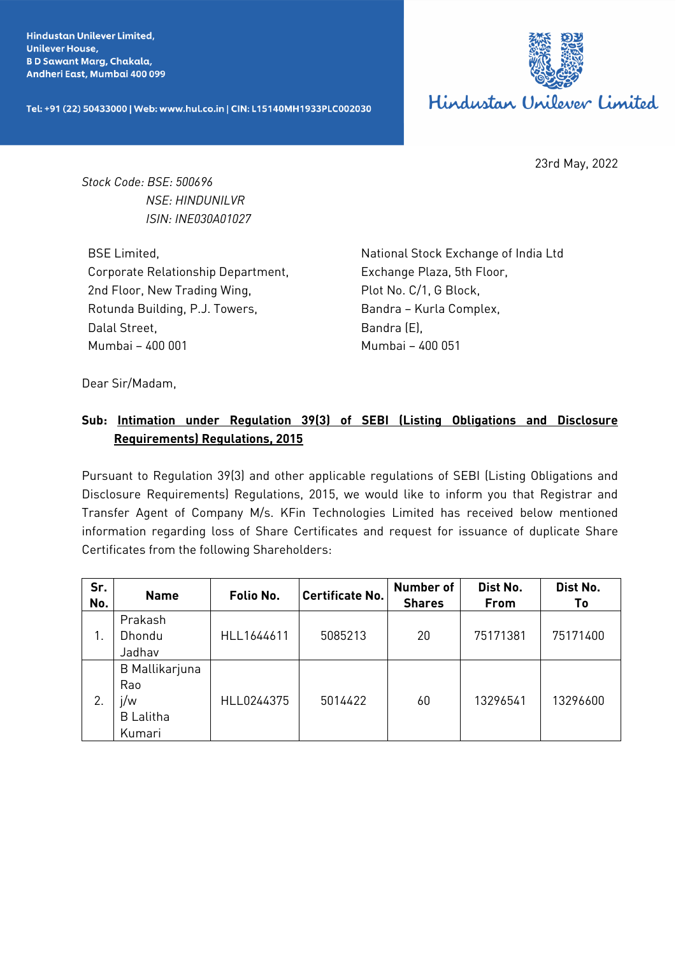**Hindustan Unilever Limited. Unilever House, BD Sawant Marg, Chakala,** Andheri East, Mumbai 400 099

Tel: +91 (22) 50433000 | Web: www.hul.co.in | CIN: L15140MH1933PLC002030



23rd May, 2022

*Stock Code: BSE: 500696 NSE: HINDUNILVR ISIN: INE030A01027*

BSE Limited, Corporate Relationship Department, 2nd Floor, New Trading Wing, Rotunda Building, P.J. Towers, Dalal Street, Mumbai – 400 001

National Stock Exchange of India Ltd Exchange Plaza, 5th Floor, Plot No. C/1, G Block, Bandra – Kurla Complex, Bandra (E), Mumbai – 400 051

Dear Sir/Madam,

## **Sub: Intimation under Regulation 39(3) of SEBI (Listing Obligations and Disclosure Requirements) Regulations, 2015**

Pursuant to Regulation 39(3) and other applicable regulations of SEBI (Listing Obligations and Disclosure Requirements) Regulations, 2015, we would like to inform you that Registrar and Transfer Agent of Company M/s. KFin Technologies Limited has received below mentioned information regarding loss of Share Certificates and request for issuance of duplicate Share Certificates from the following Shareholders:

| Sr.<br>No. | <b>Name</b>                                                       | Folio No.  | <b>Certificate No.</b> | <b>Number of</b><br><b>Shares</b> | Dist No.<br>From | Dist No.<br>Τo |
|------------|-------------------------------------------------------------------|------------|------------------------|-----------------------------------|------------------|----------------|
|            | Prakash<br>Dhondu<br>Jadhav                                       | HLL1644611 | 5085213                | 20                                | 75171381         | 75171400       |
| 2.         | <b>B</b> Mallikarjuna<br>Rao<br>i/w<br><b>B</b> Lalitha<br>Kumari | HLL0244375 | 5014422                | 60                                | 13296541         | 13296600       |